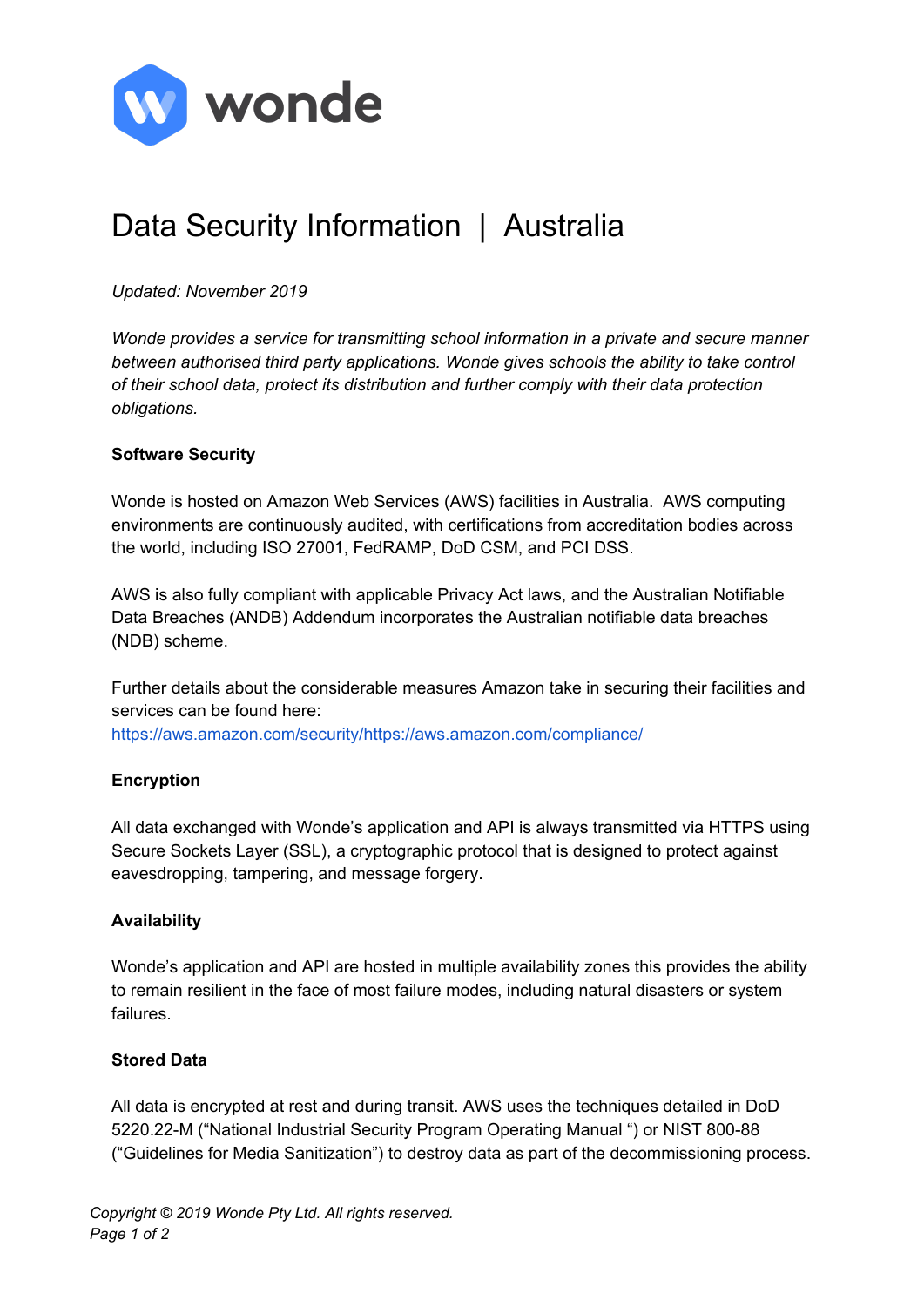

# Data Security Information | Australia

# *Updated: November 2019*

*Wonde provides a service for transmitting school information in a private and secure manner between authorised third party applications. Wonde gives schools the ability to take control of their school data, protect its distribution and further comply with their data protection obligations.*

## **Software Security**

Wonde is hosted on Amazon Web Services (AWS) facilities in Australia. AWS computing environments are continuously audited, with certifications from accreditation bodies across the world, including ISO 27001, FedRAMP, DoD CSM, and PCI DSS.

AWS is also fully compliant with applicable Privacy Act laws, and the Australian Notifiable Data Breaches (ANDB) Addendum incorporates the Australian notifiable data breaches (NDB) scheme.

Further details about the considerable measures Amazon take in securing their facilities and services can be found here:

[https://aws.amazon.com/security/https://aws.amazon.com/compliance/](https://aws.amazon.com/security/)

# **Encryption**

All data exchanged with Wonde's application and API is always transmitted via HTTPS using Secure Sockets Layer (SSL), a cryptographic protocol that is designed to protect against eavesdropping, tampering, and message forgery.

### **Availability**

Wonde's application and API are hosted in multiple availability zones this provides the ability to remain resilient in the face of most failure modes, including natural disasters or system failures.

### **Stored Data**

All data is encrypted at rest and during transit. AWS uses the techniques detailed in DoD 5220.22-M ("National Industrial Security Program Operating Manual ") or NIST 800-88 ("Guidelines for Media Sanitization") to destroy data as part of the decommissioning process.